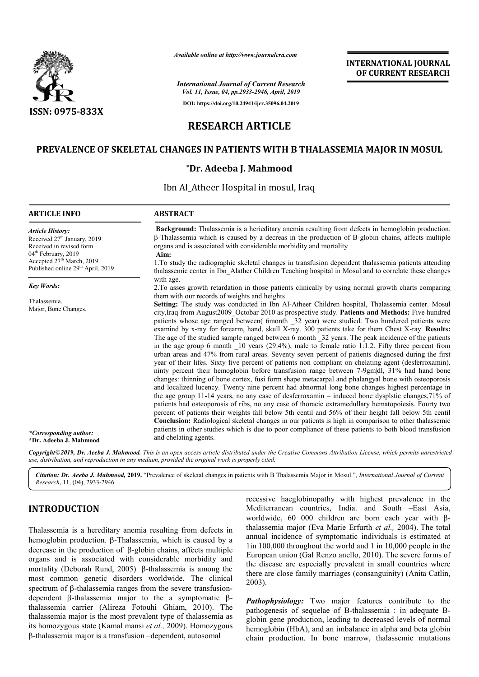

*Available online at http://www.journalcra.com*

*International Journal of Current Research Vol. 11, Issue, 04, pp.2933-2946, April, 2019*

**DOI: https://doi.org/10.24941/ijcr.35096.04.2019**

## **INTERNATIONAL JOURNAL OF CURRENT RESEARCH**

# **RESEARCH ARTICLE**

## PREVALENCE OF SKELETAL CHANGES IN PATIENTS WITH B THALASSEMIA MAJOR IN MOSUL

### **\*Dr. Adeeba J. Mahmood**

Ibn Al\_Atheer Hospital in mosul, Iraq

| <b>ARTICLE INFO</b>                                                                                                                                                                                             | <b>ABSTRACT</b>                                                                                                                                                                                                                                                                                                                                                                                                                                                                                                                                                                                                                                                                                                                                                                                                                                                                                                                                                                                                                                                                                                                                                                                             |
|-----------------------------------------------------------------------------------------------------------------------------------------------------------------------------------------------------------------|-------------------------------------------------------------------------------------------------------------------------------------------------------------------------------------------------------------------------------------------------------------------------------------------------------------------------------------------------------------------------------------------------------------------------------------------------------------------------------------------------------------------------------------------------------------------------------------------------------------------------------------------------------------------------------------------------------------------------------------------------------------------------------------------------------------------------------------------------------------------------------------------------------------------------------------------------------------------------------------------------------------------------------------------------------------------------------------------------------------------------------------------------------------------------------------------------------------|
| <b>Article History:</b><br>Received 27 <sup>th</sup> January, 2019<br>Received in revised form<br>04 <sup>th</sup> February, 2019<br>Accepted 27 <sup>th</sup> March, 2019<br>Published online 29th April, 2019 | Background: Thalassemia is a herieditary anemia resulting from defects in hemoglobin production.<br>$\beta$ -Thalassemia which is caused by a decreas in the production of B-globin chains, affects multiple<br>organs and is associated with considerable morbidity and mortality<br>Aim:<br>1. To study the radiographic skeletal changes in transfusion dependent thalassemia patients attending<br>thalassemic center in Ibn Alather Children Teaching hospital in Mosul and to correlate these changes                                                                                                                                                                                                                                                                                                                                                                                                                                                                                                                                                                                                                                                                                                 |
| <b>Key Words:</b>                                                                                                                                                                                               | with age.<br>2. To asses growth retardation in those patients clinically by using normal growth charts comparing                                                                                                                                                                                                                                                                                                                                                                                                                                                                                                                                                                                                                                                                                                                                                                                                                                                                                                                                                                                                                                                                                            |
| Thalassemia,<br>Major, Bone Changes.                                                                                                                                                                            | them with our records of weights and heights<br>Setting: The study was conducted in Ibn Al-Atheer Children hospital, Thalassemia center. Mosul<br>city, Iraq from August2009 Octobar 2010 as prospective study. Patients and Methods: Five hundred<br>patients whose age ranged between( 6month _32 year) were studied. Two hundered patients were<br>examind by x-ray for forearm, hand, skull X-ray. 300 patients take for them Chest X-ray. Results:<br>The age of the studied sample ranged between 6 month 32 years. The peak incidence of the patients<br>in the age group 6 month $\lfloor 10 \text{ years } (29.4\%)$ , male to female ratio 1:1.2. Fifty three percent from<br>urban areas and 47% from rural areas. Seventy seven percent of patients diagnosed during the first<br>year of their lifes. Sixty five percent of patients non compliant on chelating agent (desferroxamin).<br>ninty percent their hemoglobin before transfusion range between 7-9gm dl, 31% had hand bone<br>changes: thinning of bone cortex, fusi form shape metacarpal and phalangyal bone with osteoporosis<br>and localized lucency. Twenty nine percent had abnormal long bone changes highest percentage in |
| *Corresponding author:<br>*Dr. Adeeba J. Mahmood                                                                                                                                                                | the age group 11-14 years, no any case of desferroxamin – induced bone dysplstic changes, $71\%$ of<br>patients had osteoporosis of ribs, no any case of thoracic extramedullary hematopoiesis. Fourty two<br>percent of patients their weights fall below 5th centil and 56% of their height fall below 5th centil<br>Conclusion: Radiological skeletal changes in our patients is high in comparison to other thalassemic<br>patients in other studies which is due to poor compliance of these patients to both blood transfusion<br>and chelating agents.                                                                                                                                                                                                                                                                                                                                                                                                                                                                                                                                                                                                                                               |

Copyright©2019, Dr. Aeeba J. Mahmood. This is an open access article distributed under the Creative Commons Attribution License, which permits unrestrictea *use, distribution, and reproduction in any medium, provided the original work is properly cited.*

Citation: Dr. Aeeba J. Mahmood, 2019. "Prevalence of skeletal changes in patients with B Thalassemia Major in Mosul.", *International Journal of Current Research*, 11, (04), 2933-2946.

## **INTRODUCTION**

Thalassemia is a hereditary anemia resulting from defects in hemoglobin production.  $\beta$ -Thalassemia, which is caused by a decrease in the production of  $\beta$ -globin chains, affects multiple organs and is associated with considerable morbidity and mortality (Deborah Rund, 2005) B-thalassemia is among the most common genetic disorders worldwide. The clinical hemoglobin production.  $\beta$ -Thalassemia, which is caused by a decrease in the production of  $\beta$ -globin chains, affects multiple organs and is associated with considerable morbidity and mortality (Deborah Rund, 2005)  $\beta$ dependent  $\beta$ -thalassemia major to the a symptomatic  $\beta$ thalassemia carrier (Alireza Fotouhi Ghiam, 2010). The thalassemia major is the most prevalent type of thalassemia as its homozygous state (Kamal mansi et al., 2009). Homozygous -thalassemia major is a transfusion –dependent, autosomal

recessive haeglobinopathy with highest prevalence<br>
Mediterranean countries, India. and South -Eas<br>
worldwide, 60 000 children are born each year<br>
resulting from defects in<br>
thalassemia major (Eva Marie Erfurth *et al.*, 2 Mediterranean countries, India. and South –East Asia, worldwide, 60 000 children are born each year with  $\beta$ thalassemia major (Eva Marie Erfurth et al., 2004). The total annual incidence of symptomatic individuals is estimated at 1in 100,000 throughout the world and 1 in 10,000 people in the lin 100,000 throughout the world and 1 in 10,000 people in the European union (Gal Renzo anello, 2010). The severe forms of the disease are especially prevalent in small countries where there are close family marriages (consanguinity) (Anita Catlin, 2003). recessive haeglobinopathy with highest prevalence in the

*Pathophysiology:* Two major features contribute to the **Pathophysiology:** Two major features contribute to the pathogenesis of sequelae of B-thalassemia : in adequate Bglobin gene production, leading to decreased levels of normal hemoglobin (HbA), and an imbalance in alpha and beta globin chain production. In bone marrow, thalassemic mutations gene production, leading to decreased levels of normal lobin (HbA), and an imbalance in alpha and beta globin production. In bone marrow, thalassemic mutations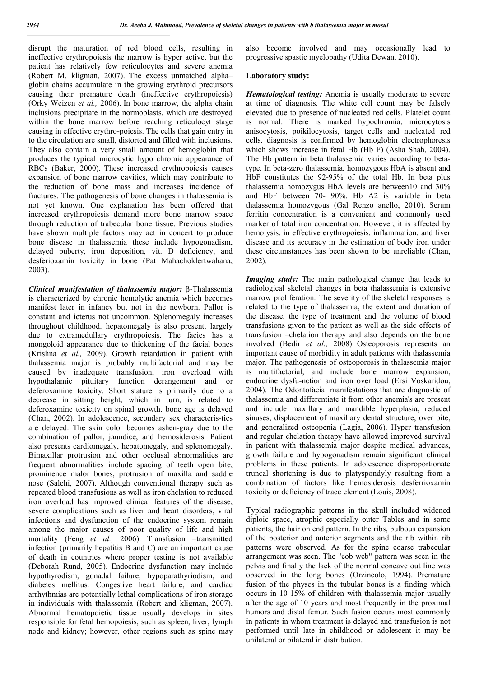disrupt the maturation of red blood cells, resulting in ineffective erythropoiesis the marrow is hyper active, but the patient has relatively few reticulocytes and severe anemia (Robert M, kligman, 2007). The excess unmatched alpha– globin chains accumulate in the growing erythroid precursors causing their premature death (ineffective erythropoiesis) (Orky Weizen *et al.,* 2006). In bone marrow, the alpha chain inclusions precipitate in the normoblasts, which are destroyed within the bone marrow before reaching reticulocyt stage causing in effective erythro-poiesis. The cells that gain entry in to the circulation are small, distorted and filled with inclusions. They also contain a very small amount of hemoglobin that produces the typical microcytic hypo chromic appearance of RBCs (Baker, 2000). These increased erythropoiesis causes expansion of bone marrow cavities, which may contribute to the reduction of bone mass and increases incidence of fractures. The pathogenesis of bone changes in thalassemia is not yet known. One explanation has been offered that increased erythropoiesis demand more bone marrow space through reduction of trabecular bone tissue. Previous studies have shown multiple factors may act in concert to produce bone disease in thalassemia these include hypogonadism, delayed puberty, iron deposition, vit. D deficiency, and desferioxamin toxicity in bone (Pat Mahachoklertwahana, 2003).

*Clinical manifestation of thalassemia major:* β-Thalassemia is characterized by chronic hemolytic anemia which becomes manifest later in infancy but not in the newborn. Pallor is constant and icterus not uncommon. Splenomegaly increases throughout childhood. hepatomegaly is also present, largely due to extramedullary erythropoiesis. The facies has a mongoloid appearance due to thickening of the facial bones (Krishna *et al.,* 2009). Growth retardation in patient with thalassemia major is probably multifactorial and may be caused by inadequate transfusion, iron overload with hypothalamic pituitary function derangement and or deferoxamine toxicity. Short stature is primarily due to a decrease in sitting height, which in turn, is related to deferoxamine toxicity on spinal growth. bone age is delayed (Chan, 2002). In adolescence, secondary sex characteris-tics are delayed. The skin color becomes ashen-gray due to the combination of pallor, jaundice, and hemosiderosis. Patient also presents cardiomegaly, hepatomegaly, and splenomegaly. Bimaxillar protrusion and other occlusal abnormalities are frequent abnormalities include spacing of teeth open bite, prominence malor bones, protrusion of maxilla and saddle nose (Salehi, 2007). Although conventional therapy such as repeated blood transfusions as well as iron chelation to reduced iron overload has improved clinical features of the disease, severe complications such as liver and heart disorders, viral infections and dysfunction of the endocrine system remain among the major causes of poor quality of life and high mortality (Feng *et al.*, 2006). Transfusion -transmitted infection (primarily hepatitis B and C) are an important cause of death in countries where proper testing is not available (Deborah Rund, 2005). Endocrine dysfunction may include hypothyrodism, gonadal failure, hypoparathyriodism, and diabetes mellitus. Congestive heart failure, and cardiac arrhythmias are potentially lethal complications of iron storage in individuals with thalassemia (Robert and kligman, 2007). Abnormal hematopoietic tissue usually develops in sites responsible for fetal hemopoiesis, such as spleen, liver, lymph node and kidney; however, other regions such as spine may

also become involved and may occasionally lead to progressive spastic myelopathy (Udita Dewan, 2010).

#### **Laboratory study:**

*Hematological testing:* Anemia is usually moderate to severe at time of diagnosis. The white cell count may be falsely elevated due to presence of nucleated red cells. Platelet count is normal. There is marked hypochromia, microcytosis anisocytosis, poikilocytosis, target cells and nucleated red cells. diagnosis is confirmed by hemoglobin electrophoresis which shows increase in fetal Hb (Hb F) (Asha Shah, 2004). The Hb pattern in beta thalassemia varies according to betatype. In beta-zero thalassemia, homozygous HbA is absent and HbF constitutes the 92-95% of the total Hb. In beta plus thalassemia homozygus HbA levels are between10 and 30% and HbF between 70- 90%. Hb A2 is variable in beta thalassemia homozygous (Gal Renzo anello, 2010). Serum ferritin concentration is a convenient and commonly used marker of total iron concentration. However, it is affected by hemolysis, in effective erythropoiesis, inflammation, and liver disease and its accuracy in the estimation of body iron under these circumstances has been shown to be unreliable (Chan, 2002).

*Imaging study:* The main pathological change that leads to radiological skeletal changes in beta thalassemia is extensive marrow proliferation. The severity of the skeletal responses is related to the type of thalassemia, the extent and duration of the disease, the type of treatment and the volume of blood transfusions given to the patient as well as the side effects of transfusion –chelation therapy and also depends on the bone involved (Bedir *et al.,* 2008) Osteoporosis represents an important cause of morbidity in adult patients with thalassemia major. The pathogenesis of osteoporosis in thalassemia major is multifactorial, and include bone marrow expansion, endocrine dysfu-nction and iron over load (Ersi Voskaridou, 2004). The Odontofacial manifestations that are diagnostic of thalassemia and differentiate it from other anemia's are present and include maxillary and mandible hyperplasia, reduced sinuses, displacement of maxillary dental structure, over bite, and generalized osteopenia (Lagia, 2006). Hyper transfusion and regular chelation therapy have allowed improved survival in patient with thalassemia major despite medical advances, growth failure and hypogonadism remain significant clinical problems in these patients. In adolescence disproportionate truncal shortening is due to platyspondyly resulting from a combination of factors like hemosiderosis desferrioxamin toxicity or deficiency of trace element (Louis, 2008).

Typical radiographic patterns in the skull included widened diploic space, atrophic especially outer Tables and in some patients, the hair on end pattern. In the ribs, bulbous expansion of the posterior and anterior segments and the rib within rib patterns were observed. As for the spine coarse trabecular arrangement was seen. The "cob web" pattern was seen in the pelvis and finally the lack of the normal concave out line was observed in the long bones (Orzincolo, 1994). Premature fusion of the physes in the tubular bones is a finding which occurs in 10-15% of children with thalassemia major usually after the age of 10 years and most frequently in the proximal humors and distal femur. Such fusion occurs most commonly in patients in whom treatment is delayed and transfusion is not performed until late in childhood or adolescent it may be unilateral or bilateral in distribution.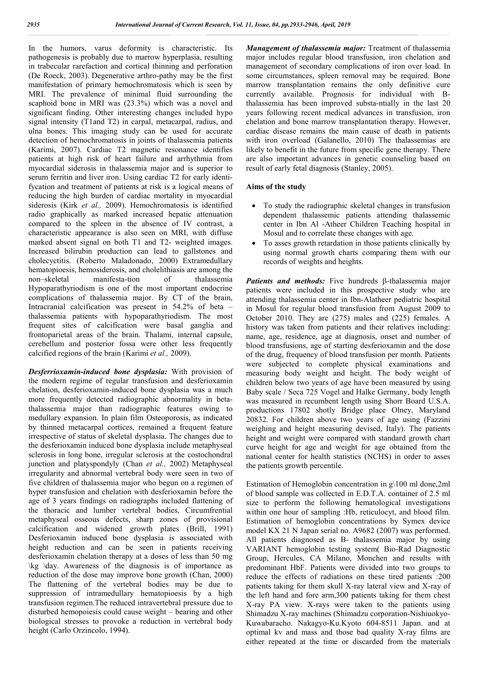In the humors, varus deformity is characteristic. Its pathogenesis is probably due to marrow hyperplasia, resulting in trabecular rarefaction and cortical thinning and perforation (De Roeck, 2003). Degenerative arthro-pathy may be the first manifestation of primary hemochromatosis which is seen by MRI. The prevalence of minimal fluid surrounding the scaphoid bone in MRI was (23.3%) which was a novel and significant finding. Other interesting changes included hypo signal intensity (T1and T2) in carpal, metacarpal, radius, and ulna bones. This imaging study can be used for accurate detection of hemochromatosis in joints of thalassemia patients (Karimi, 2007). Cardiac T2 magnetic resonance identifies patients at high risk of heart failure and arrhythmia from myocardial siderosis in thalassemia major and is superior to serum ferritin and liver iron. Using cardiac T2 for early identifycation and treatment of patients at risk is a logical means of reducing the high burden of cardiac mortality in myocardial siderosis (Kirk *et al.,* 2009). Hemochromatosis is identified radio graphically as marked increased hepatic attenuation compared to the spleen in the absence of IV contrast, a characteristic appearance is also seen on MRI, with diffuse marked absent signal on both T1 and T2- weighted images. Increased bilirubin production can lead to gallstones and cholecyctitis. (Roberto Maladonado, 2000) Extramedullary hematopioesis, hemosiderosis, and cholelithiasis are among the non–skeletal manifesta-tion of thalassemia Hypoparathyriodism is one of the most important endocrine complications of thalassemia major. By CT of the brain, Intracranial calcification was present in 54.2% of beta – thalassemia patients with hypoparathyriodism. The most frequent sites of calcification were basal ganglia and frontoparietal areas of the brain. Thalami, internal capsule, cerebellum and posterior fossa were other less frequently calcified regions of the brain (Karimi *et al.,* 2009).

*Desferrioxamin-induced bone dysplasia:* With provision of the modern regime of regular transfusion and desferioxamin chelation, desferioxamin-induced bone dysplasia was a much more frequently detected radiographic abnormality in betathalassemia major than radiographic features owing to medullary expansion. In plain film Osteoporosis, as indicated by thinned metacarpal cortices, remained a frequent feature irrespective of status of skeletal dysplasia. The changes due to the desferioxamin induced bone dysplasia include metaphyseal sclerosis in long bone, irregular sclerosis at the costochondral junction and platyspondyly (Chan *et al.,* 2002) Metaphyseal irregularity and abnormal vertebral body were seen in two of five children of thalassemia major who begun on a regimen of hyper transfusion and chelation with desferioxamin before the age of 3 years findings on radiographs included flattening of the thoracic and lumber vertebral bodies, Circumfrential metaphyseal osseous defects, sharp zones of provisional calcification and widened growth plates (Brill, 1991) Desferioxamin induced bone dysplasia is associated with height reduction and can be seen in patients receiving desferioxamin chelation therapy at a doses of less than 50 mg \kg \day. Awareness of the diagnosis is of importance as reduction of the dose may improve bone growth (Chan, 2000) The flattening of the vertebral bodies may be due to suppression of intramedullary hematopioesis by a high transfusion regimen.The reduced intravertebral pressure due to disturbed hemopoiesis could cause weight – bearing and other biological stresses to provoke a reduction in vertebral body height (Carlo Orzincolo, 1994).

*Management of thalassemia major:* Treatment of thalassemia major includes regular blood transfusion, iron chelation and management of secondary complications of iron over load. In some circumstances, spleen removal may be required. Bone marrow transplantation remains the only definitive cure currently available. Prognosis for individual with Bthalassemia has been improved substa-ntially in the last 20 years following recent medical advances in transfusion, iron chelation and bone marrow transplantation therapy. However, cardiac disease remains the main cause of death in patients with iron overload (Galanello, 2010) The thalassemias are likely to benefit in the future from specific gene therapy. There are also important advances in genetic counseling based on result of early fetal diagnosis (Stanley, 2005).

#### **Aims of the study**

- To study the radiographic skeletal changes in transfusion dependent thalassemic patients attending thalassemic center in Ibn Al -Atheer Children Teaching hospital in Mosul and to correlate these changes with age.
- To asses growth retardation in those patients clinically by using normal growth charts comparing them with our records of weights and heights.

Patients and methods: Five hundreds  $\beta$ -thalassemia major patients were included in this prospective study who are attending thalassemia center in Ibn-Alatheer pediatric hospital in Mosul for regular blood transfusion from August 2009 to October 2010. They are (275) males and (225) females. A history was taken from patients and their relatives including: name, age, residence, age at diagnosis, onset and number of blood transfusions, age of starting desferioxamin and the dose of the drug, frequency of blood transfusion per month. Patients were subjected to complete physical examinations and measuring body weight and height. The body weight of children below two years of age have been measured by using Baby scale / Seca 725 Vogel and Halke Germany, body length was measured in recumbent length using Shorr Board U.S.A. productions 17802 shotly Bridge place Olney, Maryland 20832. For children above two years of age using (Fazzini weighing and height measuring devised, Italy). The patients height and weight were compared with standard growth chart curve height for age and weight for age obtained from the national center for health statistics (NCHS) in order to asses the patients growth percentile.

Estimation of Hemoglobin concentration in g\100 ml done,2ml of blood sample was collected in E.D.T.A. container of 2.5 ml size to perform the following hematological investigations within one hour of sampling :Hb, reticulocyt, and blood film. Estimation of hemoglobin concentrations by Symex device model KX 21 N Japan serial no. A9682 (2007) was performed. All patients diagnosed as B- thalassemia major by using VARIANT hemoglobin testing system( Bio-Rad Diagnostic Group, Hercules, CA Milano, Monchen and results with predominant HbF. Patients were divided into two groups to reduce the effects of radiations on these tired patients :200 patients taking for them skull X-ray lateral view and X-ray of the left hand and fore arm,300 patients taking for them chest X-ray PA view. X-rays were taken to the patients using Shimadzu X-ray machines (Shimadzu corporation-Nishiuokyo-Kuwabaracho. Nakagyo-Ku.Kyoto 604-8511 Japan. and at optimal kv and mass and those bad quality X-ray films are either repeated at the time or discarded from the materials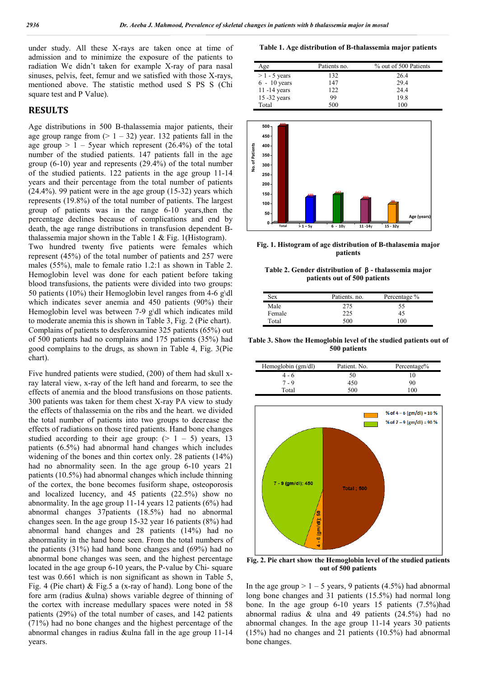under study. All these X-rays are taken once at time of admission and to minimize the exposure of the patients to radiation We didn't taken for example X-ray of para nasal sinuses, pelvis, feet, femur and we satisfied with those X-rays, mentioned above. The statistic method used S PS S (Chi square test and P Value).

#### **RESULTS**

Age distributions in 500 B-thalassemia major patients, their age group range from  $(> 1 - 32)$  year. 132 patients fall in the age group  $> 1 - 5$ year which represent (26.4%) of the total number of the studied patients. 147 patients fall in the age group (6-10) year and represents (29.4%) of the total number of the studied patients. 122 patients in the age group 11-14 years and their percentage from the total number of patients (24.4%). 99 patient were in the age group (15-32) years which represents (19.8%) of the total number of patients. The largest group of patients was in the range 6-10 years,then the percentage declines because of complications and end by death, the age range distributions in transfusion dependent Bthalassemia major shown in the Table 1 & Fig. 1(Histogram). Two hundred twenty five patients were females which represent (45%) of the total number of patients and 257 were males (55%), male to female ratio 1.2:1 as shown in Table 2. Hemoglobin level was done for each patient before taking blood transfusions, the patients were divided into two groups: 50 patients (10%) their Hemoglobin level ranges from 4-6 g\dl which indicates sever anemia and 450 patients (90%) their Hemoglobin level was between 7-9 g\dl which indicates mild to moderate anemia this is shown in Table 3, Fig. 2 (Pie chart). Complains of patients to desferoxamine 325 patients (65%) out of 500 patients had no complains and 175 patients (35%) had good complains to the drugs, as shown in Table 4, Fig. 3(Pie chart).

Five hundred patients were studied, (200) of them had skull xray lateral view, x-ray of the left hand and forearm, to see the effects of anemia and the blood transfusions on those patients. 300 patients was taken for them chest X-ray PA view to study the effects of thalassemia on the ribs and the heart. we divided the total number of patients into two groups to decrease the effects of radiations on those tired patients. Hand bone changes studied according to their age group:  $(> 1 - 5)$  years, 13 patients (6.5%) had abnormal hand changes which includes widening of the bones and thin cortex only. 28 patients (14%) had no abnormality seen. In the age group 6-10 years 21 patients (10.5%) had abnormal changes which include thinning of the cortex, the bone becomes fusiform shape, osteoporosis and localized lucency, and 45 patients (22.5%) show no abnormality. In the age group 11-14 years 12 patients (6%) had abnormal changes 37patients (18.5%) had no abnormal changes seen. In the age group 15-32 year 16 patients (8%) had abnormal hand changes and 28 patients (14%) had no abnormality in the hand bone seen. From the total numbers of the patients (31%) had hand bone changes and (69%) had no abnormal bone changes was seen, and the highest percentage located in the age group 6-10 years, the P-value by Chi- square test was 0.661 which is non significant as shown in Table 5, Fig. 4 (Pie chart) & Fig.5 a (x-ray of hand). Long bone of the fore arm (radius &ulna) shows variable degree of thinning of the cortex with increase medullary spaces were noted in 58 patients (29%) of the total number of cases, and 142 patients (71%) had no bone changes and the highest percentage of the abnormal changes in radius &ulna fall in the age group 11-14 years.

**Table 1. Age distribution of B-thalassemia major patients**

| Age             | Patients no. | % out of 500 Patients |
|-----------------|--------------|-----------------------|
| $>1 - 5$ years  | 132          | 26.4                  |
| $6 - 10$ years  | 147          | 29.4                  |
| $11 - 14$ years | 122          | 24.4                  |
| 15 -32 years    | 99           | 19.8                  |
| Total           | 500          | 100                   |



**Fig. 1. Histogram of age distribution of B-thalasemia major patients**

**Table 2. Gender distribution of - thalassemia major patients out of 500 patients**

| Sex    | Patients, no. | Percentage % |
|--------|---------------|--------------|
| Male   | 275           | 55           |
| Female | າາຈ           | 45           |
| Total  | 500           | 100          |

**Table 3. Show the Hemoglobin level of the studied patients out of 500 patients**

| Hemoglobin (gm/dl) | Patient. No. | Percentage% |
|--------------------|--------------|-------------|
| $4 - 6$            | 50           | . 0         |
| $7 - 9$            | 450          | 90          |
| Total              | 500          | 100         |



**Fig. 2. Pie chart show the Hemoglobin level of the studied patients out of 500 patients**

In the age group  $> 1 - 5$  years, 9 patients (4.5%) had abnormal long bone changes and 31 patients (15.5%) had normal long bone. In the age group 6-10 years 15 patients (7.5%)had abnormal radius & ulna and 49 patients (24.5%) had no abnormal changes. In the age group 11-14 years 30 patients (15%) had no changes and 21 patients (10.5%) had abnormal bone changes.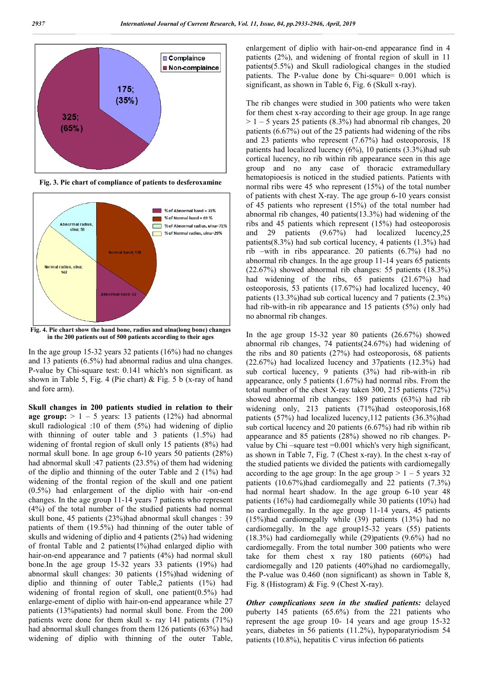

**Fig. 3. Pie chart of compliance of patients to desferoxamine**



**Fig. 4. Pie chart show the hand bone, radius and ulna(long bone) changes in the 200 patients out of 500 patients according to their ages**

In the age group 15-32 years 32 patients (16%) had no changes and 13 patients (6.5%) had abnormal radius and ulna changes. P-value by Chi-square test: 0.141 which's non significant. as shown in Table 5, Fig. 4 (Pie chart) & Fig. 5 b (x-ray of hand and fore arm).

**Skull changes in 200 patients studied in relation to their age group:**  $> 1 - 5$  years: 13 patients (12%) had abnormal skull radiological :10 of them (5%) had widening of diplio with thinning of outer table and 3 patients (1.5%) had widening of frontal region of skull only 15 patients (8%) had normal skull bone. In age group 6-10 years 50 patients (28%) had abnormal skull :47 patients (23.5%) of them had widening of the diplio and thinning of the outer Table and 2 (1%) had widening of the frontal region of the skull and one patient (0.5%) had enlargement of the diplio with hair -on-end changes. In the age group 11-14 years 7 patients who represent (4%) of the total number of the studied patients had normal skull bone, 45 patients (23%)had abnormal skull changes : 39 patients of them (19.5%) had thinning of the outer table of skulls and widening of diplio and 4 patients (2%) had widening of frontal Table and 2 patients(1%)had enlarged diplio with hair-on-end appearance and 7 patients (4%) had normal skull bone.In the age group 15-32 years 33 patients (19%) had abnormal skull changes: 30 patients (15%)had widening of diplio and thinning of outer Table,2 patients (1%) had widening of frontal region of skull, one patient(0.5%) had enlarge-ement of diplio with hair-on-end appearance while 27 patients (13%patients) had normal skull bone. From the 200 patients were done for them skull x- ray 141 patients (71%) had abnormal skull changes from them 126 patients (63%) had widening of diplio with thinning of the outer Table,

enlargement of diplio with hair-on-end appearance find in 4 patients (2%), and widening of frontal region of skull in 11 patients(5.5%) and Skull radiological changes in the studied patients. The P-value done by Chi-square= 0.001 which is significant, as shown in Table 6, Fig. 6 (Skull x-ray).

The rib changes were studied in 300 patients who were taken for them chest x-ray according to their age group. In age range  $> 1 - 5$  years 25 patients (8.3%) had abnormal rib changes, 20 patients (6.67%) out of the 25 patients had widening of the ribs and 23 patients who represent (7.67%) had osteoporosis, 18 patients had localized lucency (6%), 10 patients (3.3%)had sub cortical lucency, no rib within rib appearance seen in this age group and no any case of thoracic extramedullary hematopioesis is noticed in the studied patients. Patients with normal ribs were 45 who represent (15%) of the total number of patients with chest X-ray. The age group 6-10 years consist of 45 patients who represent (15%) of the total number had abnormal rib changes, 40 patients(13.3%) had widening of the ribs and 45 patients which represent (15%) had osteoporosis and 29 patients (9.67%) had localized lucency,25 patients(8.3%) had sub cortical lucency, 4 patients (1.3%) had rib –with in ribs appearance. 20 patients (6.7%) had no abnormal rib changes. In the age group 11-14 years 65 patients (22.67%) showed abnormal rib changes: 55 patients (18.3%) had widening of the ribs, 65 patients (21.67%) had osteoporosis, 53 patients (17.67%) had localized lucency, 40 patients (13.3%)had sub cortical lucency and 7 patients (2.3%) had rib-with-in rib appearance and 15 patients (5%) only had no abnormal rib changes.

In the age group 15-32 year 80 patients (26.67%) showed abnormal rib changes, 74 patients(24.67%) had widening of the ribs and 80 patients (27%) had osteoporosis, 68 patients (22.67%) had localized lucency and 37patients (12.3%) had sub cortical lucency, 9 patients (3%) had rib-with-in rib appearance, only 5 patients (1.67%) had normal ribs. From the total number of the chest X-ray taken 300, 215 patients (72%) showed abnormal rib changes: 189 patients (63%) had rib widening only, 213 patients (71%)had osteoporosis,168 patients (57%) had localized lucency,112 patients (36.3%)had sub cortical lucency and 20 patients (6.67%) had rib within rib appearance and 85 patients (28%) showed no rib changes. Pvalue by Chi –square test =0.001 which's very high significant, as shown in Table 7, Fig. 7 (Chest x-ray). In the chest x-ray of the studied patients we divided the patients with cardiomegally according to the age group: In the age group  $> 1 - 5$  years 32 patients (10.67%)had cardiomegally and 22 patients (7.3%) had normal heart shadow. In the age group 6-10 year 48 patients (16%) had cardiomegally while 30 patients (10%) had no cardiomegally. In the age group 11-14 years, 45 patients (15%)had cardiomegally while (39) patients (13%) had no cardiomegally. In the age group15-32 years (55) patients (18.3%) had cardiomegally while (29)patients (9.6%) had no cardiomegally. From the total number 300 patients who were take for them chest x ray 180 patients (60%) had cardiomegally and 120 patients (40%)had no cardiomegally, the P-value was 0.460 (non significant) as shown in Table 8, Fig. 8 (Histogram) & Fig. 9 (Chest X-ray).

*Other complications seen in the studied patients:* delayed puberty 145 patients (65.6%) from the 221 patients who represent the age group 10- 14 years and age group 15-32 years, diabetes in 56 patients (11.2%), hypoparatyriodism 54 patients (10.8%), hepatitis C virus infection 66 patients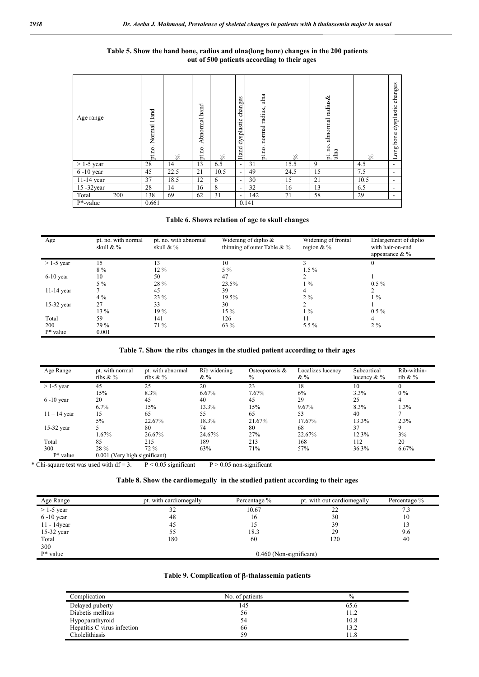#### **Table 5. Show the hand bone, radius and ulna(long bone) changes in the 200 patients out of 500 patients according to their ages**

| Age range               | Normal Hand<br>pt.no. | వ    | hand<br>Abnormal<br>pt.no. | న    | changes<br>dysplastic<br>Hand | ulna<br>radius,<br>normal<br>pt.no. | వ    | pt. no. abnormal radius&<br>ulna | $\mathcal{S}_{\mathbf{0}}$ | changes<br>dysplastic<br>bone<br>Long |
|-------------------------|-----------------------|------|----------------------------|------|-------------------------------|-------------------------------------|------|----------------------------------|----------------------------|---------------------------------------|
| $>$ 1-5 year            | 28                    | 14   | 13                         | 6.5  | $\sim$                        | 31                                  | 15.5 | 9                                | 4.5                        | ۰                                     |
| $\overline{6}$ -10 year | 45                    | 22.5 | 21                         | 10.5 | $\sim$                        | 49                                  | 24.5 | 15                               | 7.5                        | ۰                                     |
| $11-14$ year            | 37                    | 18.5 | 12                         | 6    | $\overline{\phantom{0}}$      | 30                                  | 15   | 21                               | 10.5                       | ۰                                     |
| 15 -32year              | 28                    | 14   | 16                         | 8    | $\overline{\phantom{0}}$      | 32                                  | 16   | 13                               | 6.5                        | ۰                                     |
| Total<br>200            | 138                   | 69   | 62                         | 31   | $\sim$                        | 142                                 | 71   | 58                               | 29                         | ۰                                     |
| $P^*$ -value            | 0.661                 |      |                            |      |                               | 0.141                               |      |                                  |                            |                                       |

#### **Table 6. Shows relation of age to skull changes**

| Age          | pt. no. with normal<br>skull & % | pt. no. with abnormal<br>skull & % | Widening of diplio $&$<br>thinning of outer Table & $%$ | Widening of frontal<br>region $&\%$ | Enlargement of diplio<br>with hair-on-end<br>appearance $&\%$ |
|--------------|----------------------------------|------------------------------------|---------------------------------------------------------|-------------------------------------|---------------------------------------------------------------|
| $>$ 1-5 year | 15                               | 13                                 | 10                                                      |                                     | $\theta$                                                      |
|              | 8 %                              | $12\%$                             | $5\%$                                                   | $1.5\%$                             |                                                               |
| $6-10$ year  | 10                               | 50                                 | 47                                                      |                                     |                                                               |
|              | $5\%$                            | 28 %                               | 23.5%                                                   | $1\%$                               | $0.5\%$                                                       |
| $11-14$ year |                                  | 45                                 | 39                                                      | $\overline{4}$                      |                                                               |
|              | $4\%$                            | 23 %                               | 19.5%                                                   | $2\%$                               | $1\%$                                                         |
| 15-32 year   | 27                               | 33                                 | 30                                                      | 2                                   |                                                               |
|              | 13 %                             | 19%                                | $15\%$                                                  | $1\%$                               | $0.5\%$                                                       |
| Total        | 59                               | 141                                | 126                                                     | 11                                  | 4                                                             |
| 200          | 29 %                             | 71 %                               | 63 %                                                    | 5.5 %                               | $2\%$                                                         |
| $P^*$ value  | 0.001                            |                                    |                                                         |                                     |                                                               |

#### **Table 7. Show the ribs changes in the studied patient according to their ages**

| Age Range      | pt. with normal<br>ribs $&\%$ | pt. with abnormal<br>ribs $&\%$ | Rib widening<br>$&\%$ | Osteoporosis &<br>$\%$ | Localizes lucency<br>& $\%$ | Subcortical<br>lucency $&\%$ | Rib-within-<br>rib & $\%$ |
|----------------|-------------------------------|---------------------------------|-----------------------|------------------------|-----------------------------|------------------------------|---------------------------|
| $>$ 1-5 year   | 45                            | 25                              | 20                    | 23                     | 18                          | 10                           |                           |
|                | 15%                           | 8.3%                            | 6.67%                 | 7.67%                  | 6%                          | 3.3%                         | $0\%$                     |
| $6-10$ year    | 20                            | 45                              | 40                    | 45                     | 29                          | 25                           | 4                         |
|                | 6.7%                          | 15%                             | 13.3%                 | 15%                    | 9.67%                       | 8.3%                         | 1.3%                      |
| $11 - 14$ year | 15                            | 65                              | 55                    | 65                     | 53                          | 40                           |                           |
|                | 5%                            | 22.67%                          | 18.3%                 | 21.67%                 | 17.67%                      | 13.3%                        | 2.3%                      |
| 15-32 year     |                               | 80                              | 74                    | 80                     | 68                          | 37                           | 9                         |
|                | 1.67%                         | 26.67%                          | 24.67%                | 27%                    | 22.67%                      | 12.3%                        | 3%                        |
| Total          | 85                            | 215                             | 189                   | 213                    | 168                         | 112                          | 20                        |
| 300            | 28 %                          | 72 %                            | 63%                   | 71%                    | 57%                         | 36.3%                        | 6.67%                     |
| $P^*$ value    | 0.001 (Very high significant) |                                 |                       |                        |                             |                              |                           |

\* Chi-square test was used with df = 3.  $P < 0.05$  significant P > 0.05 non-significant

#### **Table 8. Show the cardiomegally in the studied patient according to their ages**

| Age Range      | pt. with cardiomegally | Percentage % | pt. with out cardiomegally | Percentage % |
|----------------|------------------------|--------------|----------------------------|--------------|
| $>$ 1-5 year   | 32                     | 10.67        | 22                         | 7.3          |
| $6-10$ year    | 48                     | 16           | 30                         | 10           |
| $11 - 14$ year | 45                     | 15           | 39                         |              |
| 15-32 year     | 55                     | 18.3         | 29                         | 9.6          |
| Total          | 180                    | 60           | 120                        | 40           |
| 300            |                        |              |                            |              |
| $P^*$ value    |                        |              | 0.460 (Non-significant)    |              |

#### Table 9. Complication of  $\beta$ -thalassemia patients

| Complication                | No. of patients | $\%$ |
|-----------------------------|-----------------|------|
| Delayed puberty             | 145             | 65.6 |
| Diabetis mellitus           | 56              | 11.2 |
| Hypoparathyroid             | 54              | 10.8 |
| Hepatitis C virus infection | 66              | 13.2 |
| Cholelithiasis              | 59              | 11.8 |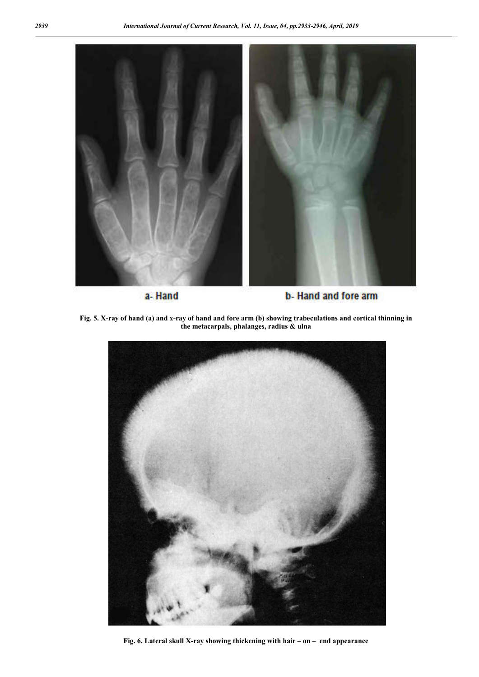

a-Hand

b-Hand and fore arm

**Fig. 5. X-ray of hand (a) and x-ray of hand and fore arm (b) showing trabeculations and cortical thinning in the metacarpals, phalanges, radius & ulna**



**Fig. 6. Lateral skull X-ray showing thickening with hair – on – end appearance**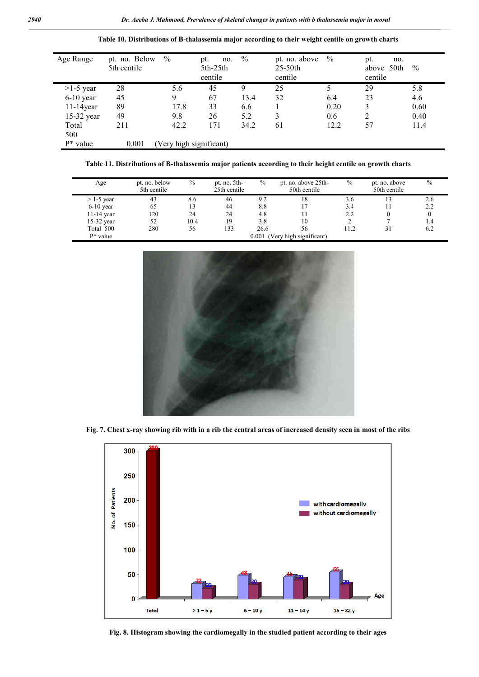| Age Range    | pt. no. Below<br>5th centile | $\frac{0}{0}$           | no.<br>pt.<br>$5th-25th$<br>centile | $\frac{0}{0}$ | pt. no. above<br>$25-50$ th<br>centile | $\%$ | pt.<br>no.<br>above 50th<br>centile | $\frac{0}{0}$ |
|--------------|------------------------------|-------------------------|-------------------------------------|---------------|----------------------------------------|------|-------------------------------------|---------------|
| $>1-5$ year  | 28                           | 5.6                     | 45                                  | 9             | 25                                     |      | 29                                  | 5.8           |
| $6-10$ year  | 45                           | 9                       | 67                                  | 13.4          | 32                                     | 6.4  | 23                                  | 4.6           |
| $11-14$ year | 89                           | 17.8                    | 33                                  | 6.6           |                                        | 0.20 | 3                                   | 0.60          |
| 15-32 year   | 49                           | 9.8                     | 26                                  | 5.2           |                                        | 0.6  | 2                                   | 0.40          |
| Total        | 211                          | 42.2                    | 171                                 | 34.2          | 61                                     | 12.2 | 57                                  | 11.4          |
| 500          |                              |                         |                                     |               |                                        |      |                                     |               |
| $P^*$ value  | 0.001                        | (Very high significant) |                                     |               |                                        |      |                                     |               |

**Table 10. Distributions of B-thalassemia major according to their weight centile on growth charts**

**Table 11. Distributions of B-thalassemia major patients according to their height centile on growth charts**

| Age          | pt. no. below<br>5th centile | $\%$ | pt. no. 5th-<br>25th centile | $\%$ | pt. no. above 25th-<br>50th centile | $\%$ | pt. no. above<br>50th centile | $\%$         |
|--------------|------------------------------|------|------------------------------|------|-------------------------------------|------|-------------------------------|--------------|
| $>$ 1-5 year | 43                           | 8.6  | 46                           | 9.2  | 18                                  | 3.6  | 13                            | 2.6          |
| $6-10$ year  | 65                           | 13   | 44                           | 8.8  |                                     | 3.4  |                               | 2.2          |
| $11-14$ year | 120                          | 24   | 24                           | 4.8  |                                     | 2.2  |                               | $\mathbf{0}$ |
| $15-32$ year | 52                           | 10.4 | 19                           | 3.8  | 10                                  |      |                               | 1.4          |
| Total 500    | 280                          | 56   | 133                          | 26.6 | 56                                  | 11.2 | 31                            | 6.2          |
| $P^*$ value  |                              |      |                              |      | 0.001 (Very high significant)       |      |                               |              |



**Fig. 7. Chest x-ray showing rib with in a rib the central areas of increased density seen in most of the ribs**



**Fig. 8. Histogram showing the cardiomegally in the studied patient according to their ages**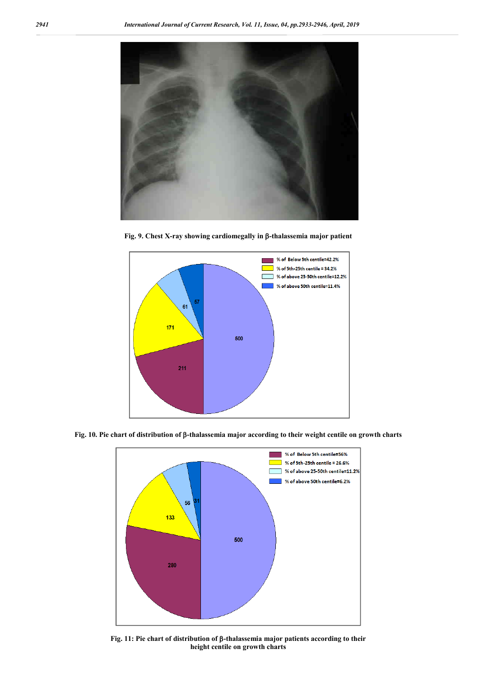

**Fig. 9. Chest X-ray showing cardiomegally in β-thalassemia major patient** 



**Fig. 10. Pie chart of distribution of -thalassemia major according to their weight centile on growth charts**



Fig. 11: Pie chart of distribution of β-thalassemia major patients according to their **height centile on growth charts**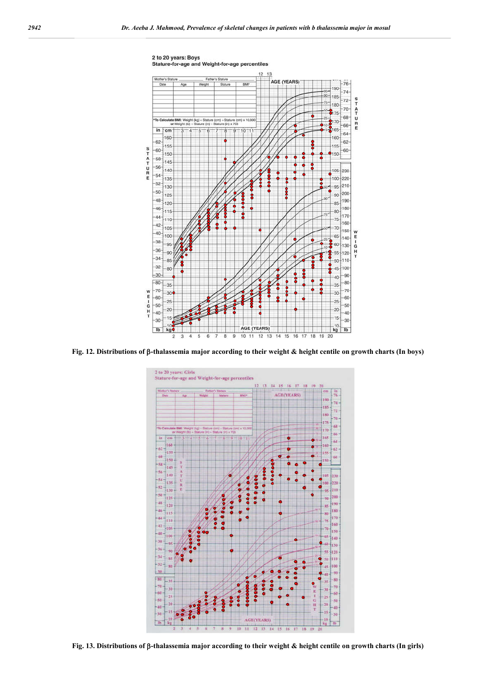

**Fig. 12. Distributions of -thalassemia major according to their weight & height centile on growth charts (In boys)**



**Fig. 13. Distributions of -thalassemia major according to their weight & height centile on growth charts (In girls)**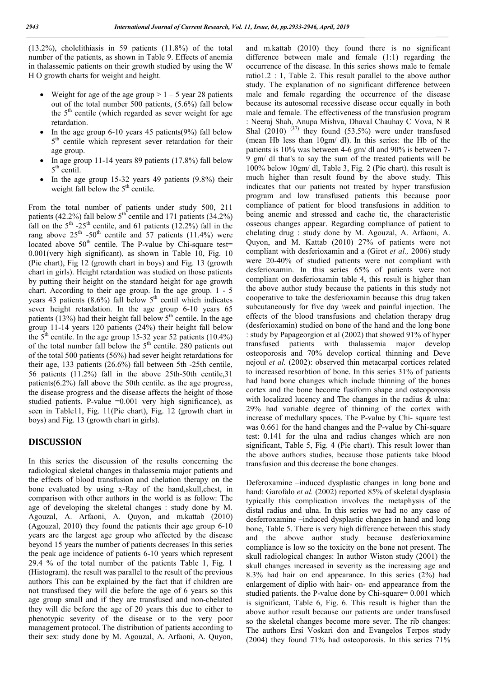(13.2%), cholelithiasis in 59 patients (11.8%) of the total number of the patients, as shown in Table 9. Effects of anemia in thalassemic patients on their growth studied by using the W H O growth charts for weight and height.

- Weight for age of the age group  $> 1 5$  year 28 patients out of the total number 500 patients, (5.6%) fall below the  $5<sup>th</sup>$  centile (which regarded as sever weight for age retardation.
- In the age group  $6-10$  years 45 patients(9%) fall below 5<sup>th</sup> centile which represent sever retardation for their age group.
- In age group 11-14 years 89 patients (17.8%) fall below  $5<sup>th</sup>$  centil.
- In the age group 15-32 years 49 patients (9.8%) their weight fall below the  $5<sup>th</sup>$  centile.

From the total number of patients under study 500, 211 patients  $(42.2\%)$  fall below  $5<sup>th</sup>$  centile and 171 patients  $(34.2\%)$ fall on the  $5<sup>th</sup> -25<sup>th</sup>$  centile, and 61 patients (12.2%) fall in the rang above  $25<sup>th</sup>$  -50<sup>th</sup> centile and 57 patients (11.4%) were located above  $50<sup>th</sup>$  centile. The P-value by Chi-square test= 0.001(very high significant), as shown in Table 10, Fig. 10 (Pie chart), Fig 12 (growth chart in boys) and Fig. 13 (growth chart in girls). Height retardation was studied on those patients by putting their height on the standard height for age growth chart. According to their age group. In the age group. 1 - 5 years 43 patients (8.6%) fall below  $5<sup>th</sup>$  centil which indicates sever height retardation. In the age group 6-10 years 65 patients (13%) had their height fall below  $5<sup>th</sup>$  centile. In the age group 11-14 years 120 patients (24%) their height fall below the  $5<sup>th</sup>$  centile. In the age group 15-32 year 52 patients (10.4%) of the total number fall below the 5<sup>th</sup> centile. 280 patients out of the total 500 patients (56%) had sever height retardations for their age, 133 patients (26.6%) fall between 5th -25th centile, 56 patients (11.2%) fall in the above 25th-50th centile,31 patients(6.2%) fall above the 50th centile. as the age progress, the disease progress and the disease affects the height of those studied patients. P-value =0.001 very high significance), as seen in Table11, Fig. 11(Pie chart), Fig. 12 (growth chart in boys) and Fig. 13 (growth chart in girls).

#### **DISCUSSION**

In this series the discussion of the results concerning the radiological skeletal changes in thalassemia major patients and the effects of blood transfusion and chelation therapy on the bone evaluated by using x-Ray of the hand,skull,chest, in comparison with other authors in the world is as follow: The age of developing the skeletal changes : study done by M. Agouzal, A. Arfaoni, A. Quyon, and m.kattab (2010) (Agouzal, 2010) they found the patients their age group 6-10 years are the largest age group who affected by the disease beyond 15 years the number of patients decreases In this series the peak age incidence of patients 6-10 years which represent 29.4 % of the total number of the patients Table 1, Fig. 1 (Histogram). the result was parallel to the result of the previous authors This can be explained by the fact that if children are not transfused they will die before the age of 6 years so this age group small and if they are transfused and non-chelated they will die before the age of 20 years this due to either to phenotypic severity of the disease or to the very poor management protocol. The distribution of patients according to their sex: study done by M. Agouzal, A. Arfaoni, A. Quyon,

and m.kattab (2010) they found there is no significant difference between male and female (1:1) regarding the occurrence of the disease. In this series shows male to female ratio1.2 : 1, Table 2. This result parallel to the above author study. The explanation of no significant difference between male and female regarding the occurrence of the disease because its autosomal recessive disease occur equally in both male and female. The effectiveness of the transfusion program : Neeraj Shah, Anupa Mishva, Dhaval Chauhay C Vova, N R Shal  $(2010)$ <sup> $(37)$ </sup> they found  $(53.5%)$  were under transfused (mean Hb less than 10gm/ dl). In this series: the Hb of the patients is 10% was between 4-6 gm/ dl and 90% is between 7- 9 gm/ dl that's to say the sum of the treated patients will be 100% below 10gm/ dl, Table 3, Fig. 2 (Pie chart). this result is much higher than result found by the above study. This indicates that our patients not treated by hyper transfusion program and low transfused patients this because poor compliance of patient for blood transfusions in addition to being anemic and stressed and cache tic, the characteristic osseous changes appear. Regarding compliance of patient to chelating drug : study done by M. Agouzal, A. Arfaoni, A. Quyon, and M. Kattab (2010) 27% of patients were not compliant with desferioxamin and a (Girot *et al.,* 2006) study were 20-40% of studied patients were not compliant with desferioxamin. In this series 65% of patients were not compliant on desferioxamin table 4, this result is higher than the above author study because the patients in this study not cooperative to take the desferioxamin because this drug taken subcutaneously for five day \week and painful injection. The effects of the blood transfusions and chelation therapy drug (desferioxamin) studied on bone of the hand and the long bone : study by Papageorgion et al (2002) that showed 91% of hyper transfused patients with thalassemia major develop osteoporosis and 70% develop cortical thinning and Deve nejoul *et al.* (2002): observed thin metacarpal cortices related to increased resorbtion of bone. In this series 31% of patients had hand bone changes which include thinning of the bones cortex and the bone become fusiform shape and osteoporosis with localized lucency and The changes in the radius & ulna: 29% had variable degree of thinning of the cortex with increase of medullary spaces. The P-value by Chi- square test was 0.661 for the hand changes and the P-value by Chi-square test: 0.141 for the ulna and radius changes which are non significant, Table 5, Fig. 4 (Pie chart). This result lower than the above authors studies, because those patients take blood transfusion and this decrease the bone changes.

Deferoxamine –induced dysplastic changes in long bone and hand: Garofalo *et al.* (2002) reported 85% of skeletal dysplasia typically this complication involves the metaphysis of the distal radius and ulna. In this series we had no any case of desferroxamine –induced dysplastic changes in hand and long bone, Table 5. There is very high difference between this study and the above author study because desferioxamine compliance is low so the toxicity on the bone not present. The skull radiological changes: In author Wiston study (2001) the skull changes increased in severity as the increasing age and 8.3% had hair on end appearance. In this series (2%) had enlargement of diplio with hair- on- end appearance from the studied patients. the P-value done by Chi-square= 0.001 which is significant, Table 6, Fig. 6. This result is higher than the above author result because our patients are under transfused so the skeletal changes become more sever. The rib changes: The authors Ersi Voskari don and Evangelos Terpos study (2004) they found 71% had osteoporosis. In this series 71%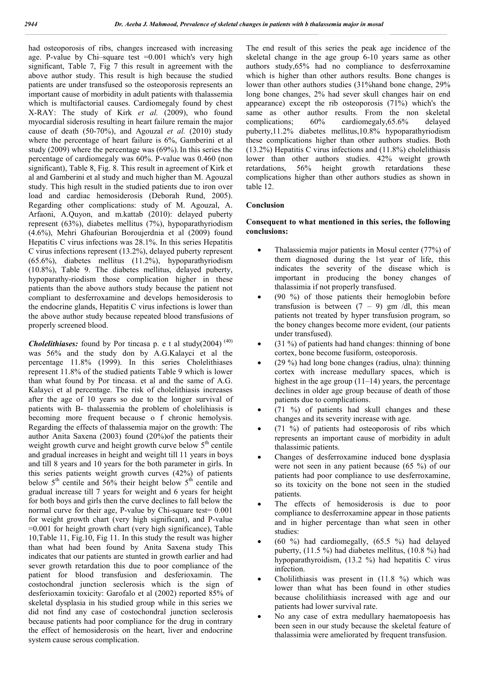had osteoporosis of ribs, changes increased with increasing age. P-value by Chi-square test  $=0.001$  which's very high significant, Table 7, Fig 7 this result in agreement with the above author study. This result is high because the studied patients are under transfused so the osteoporosis represents an important cause of morbidity in adult patients with thalassemia which is multifactorial causes. Cardiomegaly found by chest X-RAY: The study of Kirk *et al.* (2009), who found myocardial siderosis resulting in heart failure remain the major cause of death (50-70%), and Agouzal *et al.* (2010) study where the percentage of heart failure is 6%, Gamberini et al study (2009) where the percentage was (69%). In this series the percentage of cardiomegaly was 60%. P-value was 0.460 (non significant), Table 8, Fig. 8. This result in agreement of Kirk et al and Gamberini et al study and much higher than M. Agouzal study. This high result in the studied patients due to iron over load and cardiac hemosiderosis (Deborah Rund, 2005). Regarding other complications: study of M. Agouzal, A. Arfaoni, A.Quyon, and m.kattab (2010): delayed puberty represent (63%), diabetes mellitus (7%), hypoparathyriodism (4.6%), Mehri Ghafourian Boroujerdnia et al (2009) found Hepatitis C virus infections was 28.1%. In this series Hepatitis C virus infections represent (13.2%), delayed puberty represent (65.6%), diabetes mellitus (11.2%), hypoparathyriodism (10.8%), Table 9. The diabetes mellitus, delayed puberty, hypoparathy-riodism those complication higher in these patients than the above authors study because the patient not compliant to desferroxamine and develops hemosiderosis to the endocrine glands, Hepatitis C virus infections is lower than the above author study because repeated blood transfusions of properly screened blood.

*Cholelithiases:* found by Por tincasa p. e t al study(2004) (40) was 56% and the study don by A.G.Kalayci et al the percentage 11.8% (1999). In this series Cholelithiases represent 11.8% of the studied patients Table 9 which is lower than what found by Por tincasa. et al and the same of A.G. Kalayci et al percentage. The risk of cholelithiasis increases after the age of 10 years so due to the longer survival of patients with B- thalassemia the problem of cholelihiasis is becoming more frequent because o f chronic hemolysis. Regarding the effects of thalassemia major on the growth: The author Anita Saxena (2003) found (20%)of the patients their weight growth curve and height growth curve below  $5<sup>th</sup>$  centile and gradual increases in height and weight till 11 years in boys and till 8 years and 10 years for the both parameter in girls. In this series patients weight growth curves (42%) of patients below  $5<sup>th</sup>$  centile and  $56%$  their height below  $5<sup>th</sup>$  centile and gradual increase till 7 years for weight and 6 years for height for both boys and girls then the curve declines to fall below the normal curve for their age, P-value by Chi-square test= 0.001 for weight growth chart (very high significant), and P-value =0.001 for height growth chart (very high significance), Table 10,Table 11, Fig.10, Fig 11. In this study the result was higher than what had been found by Anita Saxena study This indicates that our patients are stunted in growth earlier and had sever growth retardation this due to poor compliance of the patient for blood transfusion and desferioxamin. The costochondral junction seclerosis which is the sign of desferioxamin toxicity: Garofalo et al (2002) reported 85% of skeletal dysplasia in his studied group while in this series we did not find any case of costochondral junction seclerosis because patients had poor compliance for the drug in contrary the effect of hemosiderosis on the heart, liver and endocrine system cause serous complication.

The end result of this series the peak age incidence of the skeletal change in the age group 6-10 years same as other authors study,65% had no compliance to desferroxamine which is higher than other authors results. Bone changes is lower than other authors studies (31%hand bone change, 29% long bone changes, 2% had sever skull changes hair on end appearance) except the rib osteoporosis (71%) which's the same as other author results. From the non skeletal complications; 60% cardiomegaly,65.6% delayed puberty,11.2% diabetes mellitus,10.8% hypoparathyriodism these complications higher than other authors studies. Both (13.2%) Hepatitis C virus infections and (11.8%) cholelithiasis lower than other authors studies. 42% weight growth retardations, 56% height growth retardations these complications higher than other authors studies as shown in table 12.

#### **Conclusion**

#### **Consequent to what mentioned in this series, the following conclusions:**

- Thalassiemia major patients in Mosul center (77%) of them diagnosed during the 1st year of life, this indicates the severity of the disease which is important in producing the boney changes of thalassimia if not properly transfused.
- (90 %) of those patients their hemoglobin before transfusion is between  $(7 - 9)$  gm /dl, this mean patients not treated by hyper transfusion program, so the boney changes become more evident, (our patients under transfused).
- (31 %) of patients had hand changes: thinning of bone cortex, bone become fusiform, osteoporosis.
- (29 %) had long bone changes (radius, ulna): thinning cortex with increase medullary spaces, which is highest in the age group  $(11-14)$  years, the percentage declines in older age group because of death of those patients due to complications.
- (71 %) of patients had skull changes and these changes and its severity increase with age.
- (71 %) of patients had osteoporosis of ribs which represents an important cause of morbidity in adult thalassimic patients.
- Changes of desferroxamine induced bone dysplasia were not seen in any patient because (65 %) of our patients had poor compliance to use desferroxamine, so its toxicity on the bone not seen in the studied patients.
- The effects of hemosiderosis is due to poor compliance to desferroxamine appear in those patients and in higher percentage than what seen in other studies:
- (60 %) had cardiomegally, (65.5 %) had delayed puberty, (11.5 %) had diabetes mellitus, (10.8 %) had hypoparathyroidism, (13.2 %) had hepatitis C virus infection.
- Cholilithiasis was present in (11.8 %) which was lower than what has been found in other studies because cholilithiasis increased with age and our patients had lower survival rate.
- No any case of extra medullary haematopoesis has been seen in our study because the skeletal feature of thalassimia were ameliorated by frequent transfusion.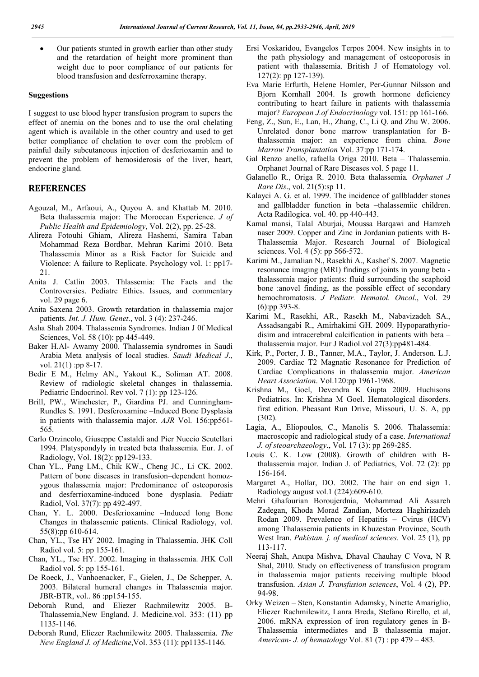Our patients stunted in growth earlier than other study and the retardation of height more prominent than weight due to poor compliance of our patients for blood transfusion and desferroxamine therapy.

#### **Suggestions**

I suggest to use blood hyper transfusion program to supers the effect of anemia on the bones and to use the oral chelating agent which is available in the other country and used to get better compliance of chelation to over com the problem of painful daily subcutaneous injection of desferioxamin and to prevent the problem of hemosiderosis of the liver, heart, endocrine gland.

### **REFERENCES**

- Agouzal, M., Arfaoui, A., Quyou A. and Khattab M. 2010. Beta thalassemia major: The Moroccan Experience. *J of Public Health and Epidemiology*, Vol. 2(2), pp. 25-28.
- Alireza Fotouhi Ghiam, Alireza Hashemi, Samira Taban Mohammad Reza Bordbar, Mehran Karimi 2010. Beta Thalassemia Minor as a Risk Factor for Suicide and Violence: A failure to Replicate. Psychology vol. 1: pp17- 21.
- Anita J. Catlin 2003. Thlassemia: The Facts and the Controversies. Pediatrc Ethics. Issues, and commentary vol. 29 page 6.
- Anita Saxena 2003. Growth retardation in thalassemia major patients. *Int. J. Hum. Genet*., vol. 3 (4): 237-246.
- Asha Shah 2004. Thalassemia Syndromes. Indian J 0f Medical Sciences, Vol. 58 (10): pp 445-449.
- Baker H.Al- Awamy 2000. Thalassemia syndromes in Saudi Arabia Meta analysis of local studies. *Saudi Medical J*., vol. 21(1) :pp 8-17.
- Bedir E M., Helmy AN., Yakout K., Soliman AT. 2008. Review of radiologic skeletal changes in thalassemia. Pediatric Endocrinol. Rev vol. 7 (1): pp 123-126.
- Brill, PW., Winchester, P., Giardina PJ. and Cunningham-Rundles S. 1991. Desferoxamine –Induced Bone Dysplasia in patients with thalassemia major. *AJR* Vol. 156:pp561- 565.
- Carlo Orzincolo, Giuseppe Castaldi and Pier Nuccio Scutellari 1994. Platyspondyly in treated beta thalassemia. Eur. J. of Radiology, Vol. 18(2): pp129-133.
- Chan YL., Pang LM., Chik KW., Cheng JC., Li CK. 2002. Pattern of bone diseases in transfusion–dependent homozygous thalassemia major: Predominance of osteoporosis and desferrioxamine-induced bone dysplasia. Pediatr Radiol, Vol. 37(7): pp 492-497.
- Chan, Y. L. 2000. Desferioxamine –Induced long Bone Changes in thalassemic patients. Clinical Radiology, vol. 55(8):pp 610-614.
- Chan, YL., Tse HY 2002. Imaging in Thalassemia. JHK Coll Radiol vol. 5: pp 155-161.
- Chan, YL., Tse HY. 2002. Imaging in thalassemia. JHK Coll Radiol vol. 5: pp 155-161.
- De Roeck, J., Vanhoenacker, F., Gielen, J., De Schepper, A. 2003. Bilateral humeral changes in Thalassemia major. JBR-BTR, vol.. 86 :pp154-155.
- Deborah Rund, and Eliezer Rachmilewitz 2005. B-Thalassemia,New England. J. Medicine.vol. 353: (11) pp 1135-1146.
- Deborah Rund, Eliezer Rachmilewitz 2005. Thalassemia. *The New England J. of Medicine*,Vol. 353 (11): pp1135-1146.
- Ersi Voskaridou, Evangelos Terpos 2004. New insights in to the path physiology and management of osteoporosis in patient with thalassemia. British J of Hematology vol. 127(2): pp 127-139).
- Eva Marie Erfurth, Helene Homler, Per-Gunnar Nilsson and Bjorn Kornhall 2004. Is growth hormone deficiency contributing to heart failure in patients with thalassemia major? *European J.of Endocrinology* vol. 151: pp 161-166.
- Feng, Z., Sun, E., Lan, H., Zhang, C., Li Q. and Zhu W. 2006. Unrelated donor bone marrow transplantation for Bthalassemia major: an experience from china. *Bone Marrow Transplantation* Vol. 37:pp 171-174.
- Gal Renzo anello, rafaella Origa 2010. Beta Thalassemia. Orphanet Journal of Rare Diseases vol. 5 page 11.
- Galanello R., Origa R. 2010. Beta thalassemia*. Orphanet J Rare Dis*., vol. 21(5):sp 11.
- Kalayci A. G. et al. 1999. The incidence of gallbladder stones and gallbladder function in beta –thalassemiic children. Acta Radilogica. vol. 40. pp 440-443.
- Kamal mansi, Talal Aburjai, Moussa Barqawi and Hamzeh naser 2009. Copper and Zinc in Jordanian patients with B-Thalassemia Major. Research Journal of Biological sciences. Vol. 4 (5): pp 566-572.
- Karimi M., Jamalian N., Rasekhi A., Kashef S. 2007. Magnetic resonance imaging (MRI) findings of joints in young beta thalassemia major patients: fluid surrounding the scaphoid bone :anovel finding, as the possible effect of secondary hemochromatosis. *J Pediatr. Hematol. Oncol*., Vol. 29 (6):pp 393-8.
- Karimi M., Rasekhi, AR., Rasekh M., Nabavizadeh SA., Assadsangabi R., Amirhakimi GH. 2009. Hypoparathyriodisim and intracerebral calcification in patients with beta – thalassemia major. Eur J Radiol.vol 27(3):pp481-484.
- Kirk, P., Porter, J. B., Tanner, M.A., Taylor, J. Anderson. L.J. 2009. Cardiac T2 Magnatic Resonance for Prediction of Cardiac Complications in thalassemia major. *American Heart Association*. Vol.120:pp 1961-1968.
- Krishna M., Goel, Devendra K Gupta 2009. Huchisons Pediatrics. In: Krishna M Goel. Hematological disorders. first edition. Pheasant Run Drive, Missouri, U. S. A, pp (302).
- Lagia, A., Eliopoulos, C., Manolis S. 2006. Thalassemia: macroscopic and radiological study of a case. *International J. of steoarchaeology*., Vol. 17 (3): pp 269-285.
- Louis C. K. Low (2008). Growth of children with Bthalassemia major. Indian J. of Pediatrics, Vol. 72 (2): pp 156-164.
- Margaret A., Hollar, DO. 2002. The hair on end sign 1. Radiology august vol.1 (224):609-610.
- Mehri Ghafourian Boroujerdnia, Mohammad Ali Assareh Zadegan, Khoda Morad Zandian, Morteza Haghirizadeh Rodan 2009. Prevalence of Hepatitis – Cvirus (HCV) among Thalassemia patients in Khuzestan Province, South West Iran. *Pakistan. j. of medical sciences*. Vol. 25 (1), pp 113-117.
- Neeraj Shah, Anupa Mishva, Dhaval Chauhay C Vova, N R Shal, 2010. Study on effectiveness of transfusion program in thalassemia major patients receiving multiple blood transfusion. *Asian J. Transfusion sciences*, Vol. 4 (2), PP. 94-98.
- Orky Weizen Sten, Konstantin Adamsky, Ninette Amariglio, Eliezer Rachmilewitz, Lanra Breda, Stefano Rirello, et al, 2006. mRNA expression of iron regulatory genes in B-Thalassemia intermediates and B thalassemia major. *American- J. of hematology* Vol. 81 (7) : pp 479 – 483.